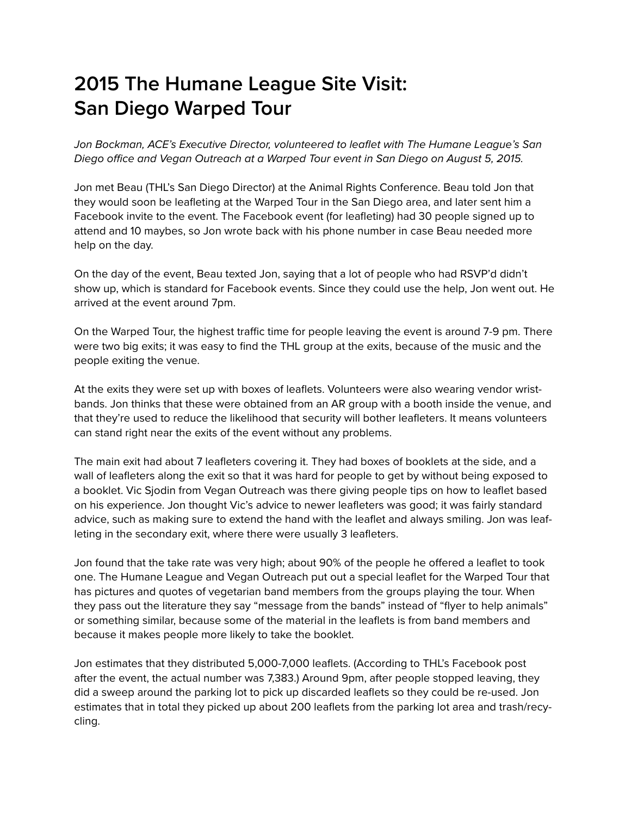## **2015 The Humane League Site Visit: San Diego Warped Tour**

Jon Bockman, ACE's Executive Director, volunteered to leaflet with The Humane League's San Diego office and Vegan Outreach at a Warped Tour event in San Diego on August 5, 2015.

Jon met Beau (THL's San Diego Director) at the Animal Rights Conference. Beau told Jon that they would soon be leafleting at the Warped Tour in the San Diego area, and later sent him a Facebook invite to the event. The Facebook event (for leafleting) had 30 people signed up to attend and 10 maybes, so Jon wrote back with his phone number in case Beau needed more help on the day.

On the day of the event, Beau texted Jon, saying that a lot of people who had RSVP'd didn't show up, which is standard for Facebook events. Since they could use the help, Jon went out. He arrived at the event around 7pm.

On the Warped Tour, the highest traffic time for people leaving the event is around 7-9 pm. There were two big exits; it was easy to find the THL group at the exits, because of the music and the people exiting the venue.

At the exits they were set up with boxes of leaflets. Volunteers were also wearing vendor wristbands. Jon thinks that these were obtained from an AR group with a booth inside the venue, and that they're used to reduce the likelihood that security will bother leafleters. It means volunteers can stand right near the exits of the event without any problems.

The main exit had about 7 leafleters covering it. They had boxes of booklets at the side, and a wall of leafleters along the exit so that it was hard for people to get by without being exposed to a booklet. Vic Sjodin from Vegan Outreach was there giving people tips on how to leaflet based on his experience. Jon thought Vic's advice to newer leafleters was good; it was fairly standard advice, such as making sure to extend the hand with the leaflet and always smiling. Jon was leafleting in the secondary exit, where there were usually 3 leafleters.

Jon found that the take rate was very high; about 90% of the people he offered a leaflet to took one. The Humane League and Vegan Outreach put out a special leaflet for the Warped Tour that has pictures and quotes of vegetarian band members from the groups playing the tour. When they pass out the literature they say "message from the bands" instead of "flyer to help animals" or something similar, because some of the material in the leaflets is from band members and because it makes people more likely to take the booklet.

Jon estimates that they distributed 5,000-7,000 leaflets. (According to THL's Facebook post after the event, the actual number was 7,383.) Around 9pm, after people stopped leaving, they did a sweep around the parking lot to pick up discarded leaflets so they could be re-used. Jon estimates that in total they picked up about 200 leaflets from the parking lot area and trash/recycling.